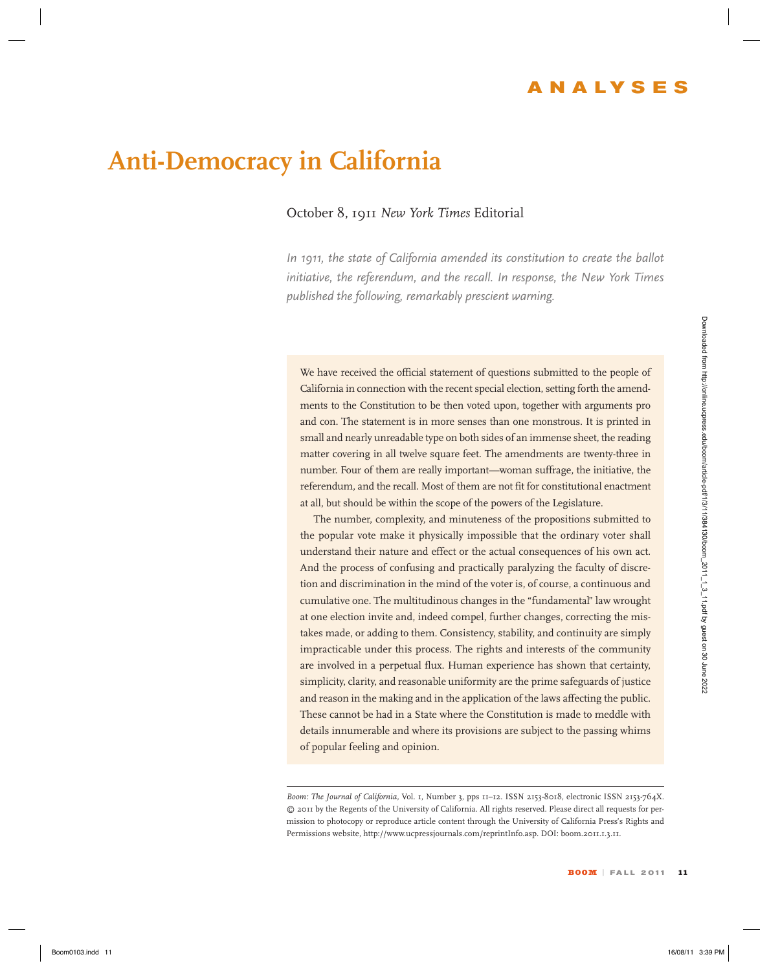## **Anti-Democracy in California**

## October 8, 1911 *New York Times* Editorial

*In 1911, the state of California amended its constitution to create the ballot initiative, the referendum, and the recall. In response, the New York Times published the following, remarkably prescient warning.*

We have received the official statement of questions submitted to the people of California in connection with the recent special election, setting forth the amendments to the Constitution to be then voted upon, together with arguments pro and con. The statement is in more senses than one monstrous. It is printed in small and nearly unreadable type on both sides of an immense sheet, the reading matter covering in all twelve square feet. The amendments are twenty-three in number. Four of them are really important—woman suffrage, the initiative, the referendum, and the recall. Most of them are not fit for constitutional enactment at all, but should be within the scope of the powers of the Legislature.

The number, complexity, and minuteness of the propositions submitted to the popular vote make it physically impossible that the ordinary voter shall understand their nature and effect or the actual consequences of his own act. And the process of confusing and practically paralyzing the faculty of discretion and discrimination in the mind of the voter is, of course, a continuous and cumulative one. The multitudinous changes in the "fundamental" law wrought at one election invite and, indeed compel, further changes, correcting the mistakes made, or adding to them. Consistency, stability, and continuity are simply impracticable under this process. The rights and interests of the community are involved in a perpetual flux. Human experience has shown that certainty, simplicity, clarity, and reasonable uniformity are the prime safeguards of justice and reason in the making and in the application of the laws affecting the public. These cannot be had in a State where the Constitution is made to meddle with details innumerable and where its provisions are subject to the passing whims of popular feeling and opinion. We have recovered the callind autovered of curvitions authorities the help operation of the care of the state of the state of the state of the state of the state of the state of the state of the state of the state of the

*Boom: The Journal of California,* Vol. 1, Number 3, pps 11–12. ISSN 2153-8018, electronic ISSN 2153-764X. © 2011 by the Regents of the University of California. All rights reserved. Please direct all requests for permission to photocopy or reproduce article content through the University of California Press's Rights and Permissions website, http://www.ucpressjournals.com/reprintInfo.asp. DOI: boom.2011.1.3.11.